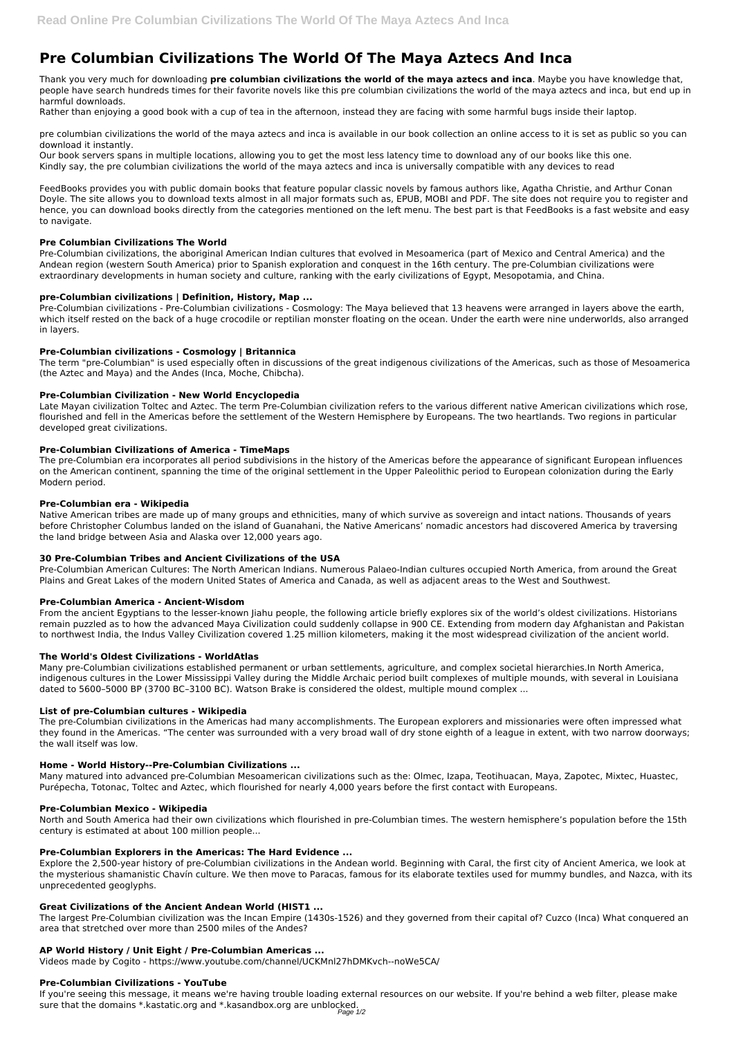# **Pre Columbian Civilizations The World Of The Maya Aztecs And Inca**

Thank you very much for downloading **pre columbian civilizations the world of the maya aztecs and inca**. Maybe you have knowledge that, people have search hundreds times for their favorite novels like this pre columbian civilizations the world of the maya aztecs and inca, but end up in harmful downloads.

Rather than enjoying a good book with a cup of tea in the afternoon, instead they are facing with some harmful bugs inside their laptop.

pre columbian civilizations the world of the maya aztecs and inca is available in our book collection an online access to it is set as public so you can download it instantly.

Our book servers spans in multiple locations, allowing you to get the most less latency time to download any of our books like this one. Kindly say, the pre columbian civilizations the world of the maya aztecs and inca is universally compatible with any devices to read

FeedBooks provides you with public domain books that feature popular classic novels by famous authors like, Agatha Christie, and Arthur Conan Doyle. The site allows you to download texts almost in all major formats such as, EPUB, MOBI and PDF. The site does not require you to register and hence, you can download books directly from the categories mentioned on the left menu. The best part is that FeedBooks is a fast website and easy to navigate.

#### **Pre Columbian Civilizations The World**

Pre-Columbian civilizations, the aboriginal American Indian cultures that evolved in Mesoamerica (part of Mexico and Central America) and the Andean region (western South America) prior to Spanish exploration and conquest in the 16th century. The pre-Columbian civilizations were extraordinary developments in human society and culture, ranking with the early civilizations of Egypt, Mesopotamia, and China.

### **pre-Columbian civilizations | Definition, History, Map ...**

Pre-Columbian civilizations - Pre-Columbian civilizations - Cosmology: The Maya believed that 13 heavens were arranged in layers above the earth, which itself rested on the back of a huge crocodile or reptilian monster floating on the ocean. Under the earth were nine underworlds, also arranged in layers.

### **Pre-Columbian civilizations - Cosmology | Britannica**

The term "pre-Columbian" is used especially often in discussions of the great indigenous civilizations of the Americas, such as those of Mesoamerica (the Aztec and Maya) and the Andes (Inca, Moche, Chibcha).

#### **Pre-Columbian Civilization - New World Encyclopedia**

Late Mayan civilization Toltec and Aztec. The term Pre-Columbian civilization refers to the various different native American civilizations which rose, flourished and fell in the Americas before the settlement of the Western Hemisphere by Europeans. The two heartlands. Two regions in particular developed great civilizations.

#### **Pre-Columbian Civilizations of America - TimeMaps**

The pre-Columbian era incorporates all period subdivisions in the history of the Americas before the appearance of significant European influences on the American continent, spanning the time of the original settlement in the Upper Paleolithic period to European colonization during the Early Modern period.

#### **Pre-Columbian era - Wikipedia**

Native American tribes are made up of many groups and ethnicities, many of which survive as sovereign and intact nations. Thousands of years before Christopher Columbus landed on the island of Guanahani, the Native Americans' nomadic ancestors had discovered America by traversing the land bridge between Asia and Alaska over 12,000 years ago.

#### **30 Pre-Columbian Tribes and Ancient Civilizations of the USA**

Pre-Columbian American Cultures: The North American Indians. Numerous Palaeo-Indian cultures occupied North America, from around the Great Plains and Great Lakes of the modern United States of America and Canada, as well as adjacent areas to the West and Southwest.

#### **Pre-Columbian America - Ancient-Wisdom**

From the ancient Egyptians to the lesser-known Jiahu people, the following article briefly explores six of the world's oldest civilizations. Historians remain puzzled as to how the advanced Maya Civilization could suddenly collapse in 900 CE. Extending from modern day Afghanistan and Pakistan to northwest India, the Indus Valley Civilization covered 1.25 million kilometers, making it the most widespread civilization of the ancient world.

#### **The World's Oldest Civilizations - WorldAtlas**

Many pre-Columbian civilizations established permanent or urban settlements, agriculture, and complex societal hierarchies.In North America, indigenous cultures in the Lower Mississippi Valley during the Middle Archaic period built complexes of multiple mounds, with several in Louisiana dated to 5600–5000 BP (3700 BC–3100 BC). Watson Brake is considered the oldest, multiple mound complex ...

#### **List of pre-Columbian cultures - Wikipedia**

The pre-Columbian civilizations in the Americas had many accomplishments. The European explorers and missionaries were often impressed what they found in the Americas. "The center was surrounded with a very broad wall of dry stone eighth of a league in extent, with two narrow doorways; the wall itself was low.

#### **Home - World History--Pre-Columbian Civilizations ...**

Many matured into advanced pre-Columbian Mesoamerican civilizations such as the: Olmec, Izapa, Teotihuacan, Maya, Zapotec, Mixtec, Huastec,

Purépecha, Totonac, Toltec and Aztec, which flourished for nearly 4,000 years before the first contact with Europeans.

#### **Pre-Columbian Mexico - Wikipedia**

North and South America had their own civilizations which flourished in pre-Columbian times. The western hemisphere's population before the 15th century is estimated at about 100 million people...

#### **Pre-Columbian Explorers in the Americas: The Hard Evidence ...**

Explore the 2,500-year history of pre-Columbian civilizations in the Andean world. Beginning with Caral, the first city of Ancient America, we look at the mysterious shamanistic Chavín culture. We then move to Paracas, famous for its elaborate textiles used for mummy bundles, and Nazca, with its unprecedented geoglyphs.

#### **Great Civilizations of the Ancient Andean World (HIST1 ...**

The largest Pre-Columbian civilization was the Incan Empire (1430s-1526) and they governed from their capital of? Cuzco (Inca) What conquered an area that stretched over more than 2500 miles of the Andes?

#### **AP World History / Unit Eight / Pre-Columbian Americas ...**

Videos made by Cogito - https://www.youtube.com/channel/UCKMnl27hDMKvch--noWe5CA/

#### **Pre-Columbian Civilizations - YouTube**

If you're seeing this message, it means we're having trouble loading external resources on our website. If you're behind a web filter, please make sure that the domains \*.kastatic.org and \*.kasandbox.org are unblocked.